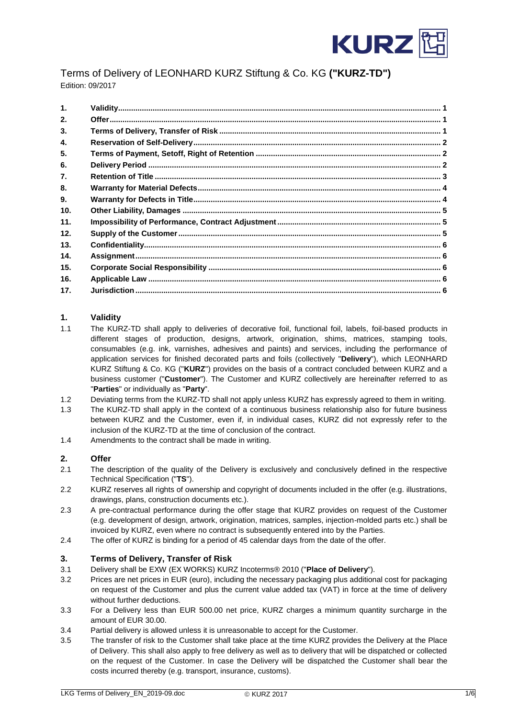

# Terms of Delivery of LEONHARD KURZ Stiftung & Co. KG **("KURZ-TD")** Edition: 09/2017

| $\mathbf{1}$ .   |  |
|------------------|--|
| 2.               |  |
| 3.               |  |
| 4.               |  |
| 5.               |  |
| 6.               |  |
| $\overline{7}$ . |  |
| 8.               |  |
| 9.               |  |
| 10.              |  |
| 11.              |  |
| 12.              |  |
| 13.              |  |
| 14.              |  |
| 15.              |  |
| 16.              |  |
| 17.              |  |

# <span id="page-0-0"></span>**1. Validity**

- 1.1 The KURZ-TD shall apply to deliveries of decorative foil, functional foil, labels, foil-based products in different stages of production, designs, artwork, origination, shims, matrices, stamping tools, consumables (e.g. ink, varnishes, adhesives and paints) and services, including the performance of application services for finished decorated parts and foils (collectively "**Delivery**"), which LEONHARD KURZ Stiftung & Co. KG ("**KURZ**") provides on the basis of a contract concluded between KURZ and a business customer ("**Customer**"). The Customer and KURZ collectively are hereinafter referred to as "**Parties**" or individually as "**Party**".
- 1.2 Deviating terms from the KURZ-TD shall not apply unless KURZ has expressly agreed to them in writing.
- 1.3 The KURZ-TD shall apply in the context of a continuous business relationship also for future business between KURZ and the Customer, even if, in individual cases, KURZ did not expressly refer to the inclusion of the KURZ-TD at the time of conclusion of the contract.
- 1.4 Amendments to the contract shall be made in writing.

# <span id="page-0-1"></span>**2. Offer**

- 2.1 The description of the quality of the Delivery is exclusively and conclusively defined in the respective Technical Specification ("**TS**").
- 2.2 KURZ reserves all rights of ownership and copyright of documents included in the offer (e.g. illustrations, drawings, plans, construction documents etc.).
- 2.3 A pre-contractual performance during the offer stage that KURZ provides on request of the Customer (e.g. development of design, artwork, origination, matrices, samples, injection-molded parts etc.) shall be invoiced by KURZ, even where no contract is subsequently entered into by the Parties.
- 2.4 The offer of KURZ is binding for a period of 45 calendar days from the date of the offer.

# <span id="page-0-2"></span>**3. Terms of Delivery, Transfer of Risk**

- 3.1 Delivery shall be EXW (EX WORKS) KURZ Incoterms® 2010 ("**Place of Delivery**").
- 3.2 Prices are net prices in EUR (euro), including the necessary packaging plus additional cost for packaging on request of the Customer and plus the current value added tax (VAT) in force at the time of delivery without further deductions.
- 3.3 For a Delivery less than EUR 500.00 net price, KURZ charges a minimum quantity surcharge in the amount of EUR 30.00.
- 3.4 Partial delivery is allowed unless it is unreasonable to accept for the Customer.
- 3.5 The transfer of risk to the Customer shall take place at the time KURZ provides the Delivery at the Place of Delivery. This shall also apply to free delivery as well as to delivery that will be dispatched or collected on the request of the Customer. In case the Delivery will be dispatched the Customer shall bear the costs incurred thereby (e.g. transport, insurance, customs).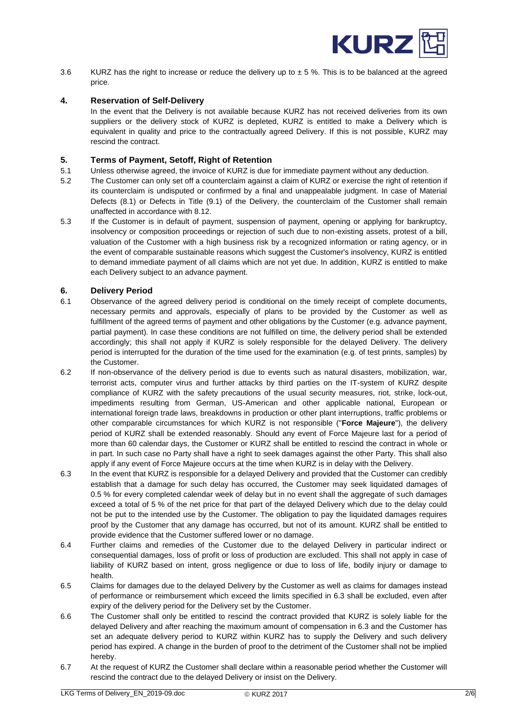

3.6 KURZ has the right to increase or reduce the delivery up to  $\pm$  5%. This is to be balanced at the agreed price.

## <span id="page-1-0"></span>**4. Reservation of Self-Delivery**

In the event that the Delivery is not available because KURZ has not received deliveries from its own suppliers or the delivery stock of KURZ is depleted, KURZ is entitled to make a Delivery which is equivalent in quality and price to the contractually agreed Delivery. If this is not possible, KURZ may rescind the contract.

## <span id="page-1-1"></span>**5. Terms of Payment, Setoff, Right of Retention**

- 5.1 Unless otherwise agreed, the invoice of KURZ is due for immediate payment without any deduction.
- 5.2 The Customer can only set off a counterclaim against a claim of KURZ or exercise the right of retention if its counterclaim is undisputed or confirmed by a final and unappealable judgment. In case of Material Defects (8.1) or Defects in Title (9.1) of the Delivery, the counterclaim of the Customer shall remain unaffected in accordance with 8.12.
- 5.3 If the Customer is in default of payment, suspension of payment, opening or applying for bankruptcy, insolvency or composition proceedings or rejection of such due to non-existing assets, protest of a bill, valuation of the Customer with a high business risk by a recognized information or rating agency, or in the event of comparable sustainable reasons which suggest the Customer's insolvency, KURZ is entitled to demand immediate payment of all claims which are not yet due. In addition, KURZ is entitled to make each Delivery subject to an advance payment.

## <span id="page-1-2"></span>**6. Delivery Period**

- 6.1 Observance of the agreed delivery period is conditional on the timely receipt of complete documents, necessary permits and approvals, especially of plans to be provided by the Customer as well as fulfillment of the agreed terms of payment and other obligations by the Customer (e.g. advance payment, partial payment). In case these conditions are not fulfilled on time, the delivery period shall be extended accordingly; this shall not apply if KURZ is solely responsible for the delayed Delivery. The delivery period is interrupted for the duration of the time used for the examination (e.g. of test prints, samples) by the Customer.
- 6.2 If non-observance of the delivery period is due to events such as natural disasters, mobilization, war, terrorist acts, computer virus and further attacks by third parties on the IT-system of KURZ despite compliance of KURZ with the safety precautions of the usual security measures, riot, strike, lock-out, impediments resulting from German, US-American and other applicable national, European or international foreign trade laws, breakdowns in production or other plant interruptions, traffic problems or other comparable circumstances for which KURZ is not responsible ("**Force Majeure**"), the delivery period of KURZ shall be extended reasonably. Should any event of Force Majeure last for a period of more than 60 calendar days, the Customer or KURZ shall be entitled to rescind the contract in whole or in part. In such case no Party shall have a right to seek damages against the other Party. This shall also apply if any event of Force Majeure occurs at the time when KURZ is in delay with the Delivery.
- 6.3 In the event that KURZ is responsible for a delayed Delivery and provided that the Customer can credibly establish that a damage for such delay has occurred, the Customer may seek liquidated damages of 0.5 % for every completed calendar week of delay but in no event shall the aggregate of such damages exceed a total of 5 % of the net price for that part of the delayed Delivery which due to the delay could not be put to the intended use by the Customer. The obligation to pay the liquidated damages requires proof by the Customer that any damage has occurred, but not of its amount. KURZ shall be entitled to provide evidence that the Customer suffered lower or no damage.
- 6.4 Further claims and remedies of the Customer due to the delayed Delivery in particular indirect or consequential damages, loss of profit or loss of production are excluded. This shall not apply in case of liability of KURZ based on intent, gross negligence or due to loss of life, bodily injury or damage to health.
- 6.5 Claims for damages due to the delayed Delivery by the Customer as well as claims for damages instead of performance or reimbursement which exceed the limits specified in 6.3 shall be excluded, even after expiry of the delivery period for the Delivery set by the Customer.
- 6.6 The Customer shall only be entitled to rescind the contract provided that KURZ is solely liable for the delayed Delivery and after reaching the maximum amount of compensation in 6.3 and the Customer has set an adequate delivery period to KURZ within KURZ has to supply the Delivery and such delivery period has expired. A change in the burden of proof to the detriment of the Customer shall not be implied hereby.
- 6.7 At the request of KURZ the Customer shall declare within a reasonable period whether the Customer will rescind the contract due to the delayed Delivery or insist on the Delivery.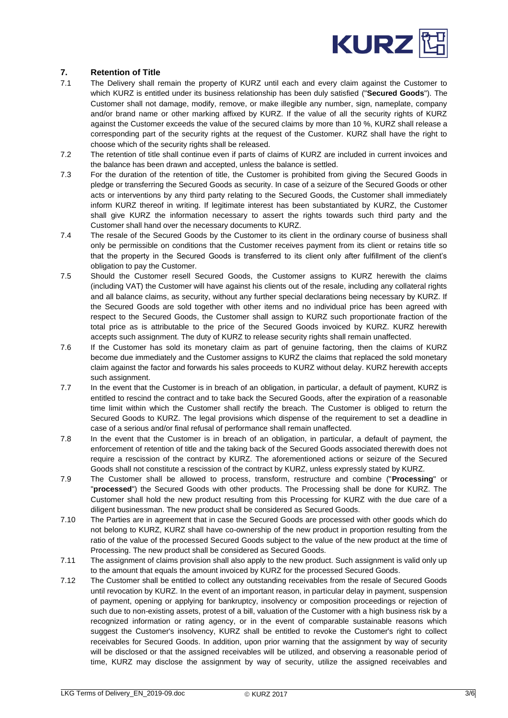

# <span id="page-2-0"></span>**7. Retention of Title**

- 7.1 The Delivery shall remain the property of KURZ until each and every claim against the Customer to which KURZ is entitled under its business relationship has been duly satisfied ("**Secured Goods**"). The Customer shall not damage, modify, remove, or make illegible any number, sign, nameplate, company and/or brand name or other marking affixed by KURZ. If the value of all the security rights of KURZ against the Customer exceeds the value of the secured claims by more than 10 %, KURZ shall release a corresponding part of the security rights at the request of the Customer. KURZ shall have the right to choose which of the security rights shall be released.
- 7.2 The retention of title shall continue even if parts of claims of KURZ are included in current invoices and the balance has been drawn and accepted, unless the balance is settled.
- 7.3 For the duration of the retention of title, the Customer is prohibited from giving the Secured Goods in pledge or transferring the Secured Goods as security. In case of a seizure of the Secured Goods or other acts or interventions by any third party relating to the Secured Goods, the Customer shall immediately inform KURZ thereof in writing. If legitimate interest has been substantiated by KURZ, the Customer shall give KURZ the information necessary to assert the rights towards such third party and the Customer shall hand over the necessary documents to KURZ.
- 7.4 The resale of the Secured Goods by the Customer to its client in the ordinary course of business shall only be permissible on conditions that the Customer receives payment from its client or retains title so that the property in the Secured Goods is transferred to its client only after fulfillment of the client's obligation to pay the Customer.
- 7.5 Should the Customer resell Secured Goods, the Customer assigns to KURZ herewith the claims (including VAT) the Customer will have against his clients out of the resale, including any collateral rights and all balance claims, as security, without any further special declarations being necessary by KURZ. If the Secured Goods are sold together with other items and no individual price has been agreed with respect to the Secured Goods, the Customer shall assign to KURZ such proportionate fraction of the total price as is attributable to the price of the Secured Goods invoiced by KURZ. KURZ herewith accepts such assignment. The duty of KURZ to release security rights shall remain unaffected.
- 7.6 If the Customer has sold its monetary claim as part of genuine factoring, then the claims of KURZ become due immediately and the Customer assigns to KURZ the claims that replaced the sold monetary claim against the factor and forwards his sales proceeds to KURZ without delay. KURZ herewith accepts such assignment.
- 7.7 In the event that the Customer is in breach of an obligation, in particular, a default of payment, KURZ is entitled to rescind the contract and to take back the Secured Goods, after the expiration of a reasonable time limit within which the Customer shall rectify the breach. The Customer is obliged to return the Secured Goods to KURZ. The legal provisions which dispense of the requirement to set a deadline in case of a serious and/or final refusal of performance shall remain unaffected.
- 7.8 In the event that the Customer is in breach of an obligation, in particular, a default of payment, the enforcement of retention of title and the taking back of the Secured Goods associated therewith does not require a rescission of the contract by KURZ. The aforementioned actions or seizure of the Secured Goods shall not constitute a rescission of the contract by KURZ, unless expressly stated by KURZ.
- 7.9 The Customer shall be allowed to process, transform, restructure and combine ("**Processing**" or "**processed**") the Secured Goods with other products. The Processing shall be done for KURZ. The Customer shall hold the new product resulting from this Processing for KURZ with the due care of a diligent businessman. The new product shall be considered as Secured Goods.
- 7.10 The Parties are in agreement that in case the Secured Goods are processed with other goods which do not belong to KURZ, KURZ shall have co-ownership of the new product in proportion resulting from the ratio of the value of the processed Secured Goods subject to the value of the new product at the time of Processing. The new product shall be considered as Secured Goods.
- 7.11 The assignment of claims provision shall also apply to the new product. Such assignment is valid only up to the amount that equals the amount invoiced by KURZ for the processed Secured Goods.
- 7.12 The Customer shall be entitled to collect any outstanding receivables from the resale of Secured Goods until revocation by KURZ. In the event of an important reason, in particular delay in payment, suspension of payment, opening or applying for bankruptcy, insolvency or composition proceedings or rejection of such due to non-existing assets, protest of a bill, valuation of the Customer with a high business risk by a recognized information or rating agency, or in the event of comparable sustainable reasons which suggest the Customer's insolvency, KURZ shall be entitled to revoke the Customer's right to collect receivables for Secured Goods. In addition, upon prior warning that the assignment by way of security will be disclosed or that the assigned receivables will be utilized, and observing a reasonable period of time, KURZ may disclose the assignment by way of security, utilize the assigned receivables and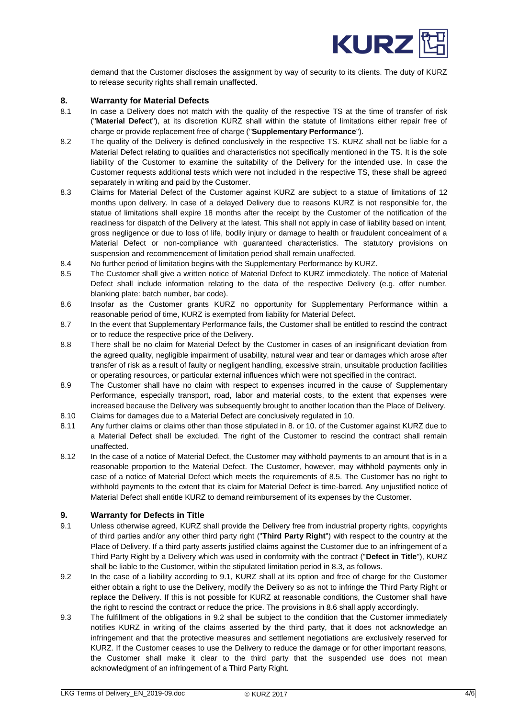

demand that the Customer discloses the assignment by way of security to its clients. The duty of KURZ to release security rights shall remain unaffected.

#### <span id="page-3-0"></span>**8. Warranty for Material Defects**

- 8.1 In case a Delivery does not match with the quality of the respective TS at the time of transfer of risk ("**Material Defect**"), at its discretion KURZ shall within the statute of limitations either repair free of charge or provide replacement free of charge ("**Supplementary Performance**").
- 8.2 The quality of the Delivery is defined conclusively in the respective TS. KURZ shall not be liable for a Material Defect relating to qualities and characteristics not specifically mentioned in the TS. It is the sole liability of the Customer to examine the suitability of the Delivery for the intended use. In case the Customer requests additional tests which were not included in the respective TS, these shall be agreed separately in writing and paid by the Customer.
- 8.3 Claims for Material Defect of the Customer against KURZ are subject to a statue of limitations of 12 months upon delivery. In case of a delayed Delivery due to reasons KURZ is not responsible for, the statue of limitations shall expire 18 months after the receipt by the Customer of the notification of the readiness for dispatch of the Delivery at the latest. This shall not apply in case of liability based on intent, gross negligence or due to loss of life, bodily injury or damage to health or fraudulent concealment of a Material Defect or non-compliance with guaranteed characteristics. The statutory provisions on suspension and recommencement of limitation period shall remain unaffected.
- 8.4 No further period of limitation begins with the Supplementary Performance by KURZ.
- 8.5 The Customer shall give a written notice of Material Defect to KURZ immediately. The notice of Material Defect shall include information relating to the data of the respective Delivery (e.g. offer number, blanking plate: batch number, bar code).
- 8.6 Insofar as the Customer grants KURZ no opportunity for Supplementary Performance within a reasonable period of time, KURZ is exempted from liability for Material Defect.
- 8.7 In the event that Supplementary Performance fails, the Customer shall be entitled to rescind the contract or to reduce the respective price of the Delivery.
- 8.8 There shall be no claim for Material Defect by the Customer in cases of an insignificant deviation from the agreed quality, negligible impairment of usability, natural wear and tear or damages which arose after transfer of risk as a result of faulty or negligent handling, excessive strain, unsuitable production facilities or operating resources, or particular external influences which were not specified in the contract.
- 8.9 The Customer shall have no claim with respect to expenses incurred in the cause of Supplementary Performance, especially transport, road, labor and material costs, to the extent that expenses were increased because the Delivery was subsequently brought to another location than the Place of Delivery.
- 8.10 Claims for damages due to a Material Defect are conclusively regulated in 10.
- 8.11 Any further claims or claims other than those stipulated in 8. or 10. of the Customer against KURZ due to a Material Defect shall be excluded. The right of the Customer to rescind the contract shall remain unaffected.
- 8.12 In the case of a notice of Material Defect, the Customer may withhold payments to an amount that is in a reasonable proportion to the Material Defect. The Customer, however, may withhold payments only in case of a notice of Material Defect which meets the requirements of 8.5. The Customer has no right to withhold payments to the extent that its claim for Material Defect is time-barred. Any unjustified notice of Material Defect shall entitle KURZ to demand reimbursement of its expenses by the Customer.

#### <span id="page-3-1"></span>**9. Warranty for Defects in Title**

- 9.1 Unless otherwise agreed, KURZ shall provide the Delivery free from industrial property rights, copyrights of third parties and/or any other third party right ("**Third Party Right**") with respect to the country at the Place of Delivery. If a third party asserts justified claims against the Customer due to an infringement of a Third Party Right by a Delivery which was used in conformity with the contract ("**Defect in Title**"), KURZ shall be liable to the Customer, within the stipulated limitation period in 8.3, as follows.
- 9.2 In the case of a liability according to 9.1, KURZ shall at its option and free of charge for the Customer either obtain a right to use the Delivery, modify the Delivery so as not to infringe the Third Party Right or replace the Delivery. If this is not possible for KURZ at reasonable conditions, the Customer shall have the right to rescind the contract or reduce the price. The provisions in 8.6 shall apply accordingly.
- 9.3 The fulfillment of the obligations in 9.2 shall be subject to the condition that the Customer immediately notifies KURZ in writing of the claims asserted by the third party, that it does not acknowledge an infringement and that the protective measures and settlement negotiations are exclusively reserved for KURZ. If the Customer ceases to use the Delivery to reduce the damage or for other important reasons, the Customer shall make it clear to the third party that the suspended use does not mean acknowledgment of an infringement of a Third Party Right.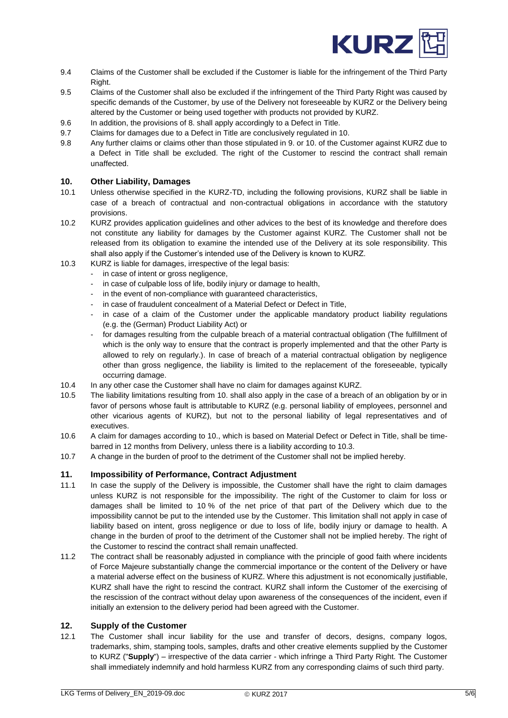

- 9.4 Claims of the Customer shall be excluded if the Customer is liable for the infringement of the Third Party Right.
- 9.5 Claims of the Customer shall also be excluded if the infringement of the Third Party Right was caused by specific demands of the Customer, by use of the Delivery not foreseeable by KURZ or the Delivery being altered by the Customer or being used together with products not provided by KURZ.
- 9.6 In addition, the provisions of 8. shall apply accordingly to a Defect in Title.
- 9.7 Claims for damages due to a Defect in Title are conclusively regulated in 10.
- 9.8 Any further claims or claims other than those stipulated in 9. or 10. of the Customer against KURZ due to a Defect in Title shall be excluded. The right of the Customer to rescind the contract shall remain unaffected.

## <span id="page-4-0"></span>**10. Other Liability, Damages**

- 10.1 Unless otherwise specified in the KURZ-TD, including the following provisions, KURZ shall be liable in case of a breach of contractual and non-contractual obligations in accordance with the statutory provisions.
- 10.2 KURZ provides application guidelines and other advices to the best of its knowledge and therefore does not constitute any liability for damages by the Customer against KURZ. The Customer shall not be released from its obligation to examine the intended use of the Delivery at its sole responsibility. This shall also apply if the Customer's intended use of the Delivery is known to KURZ.
- 10.3 KURZ is liable for damages, irrespective of the legal basis:
	- in case of intent or gross negligence,
	- in case of culpable loss of life, bodily injury or damage to health,
	- in the event of non-compliance with guaranteed characteristics,
	- in case of fraudulent concealment of a Material Defect or Defect in Title,
	- in case of a claim of the Customer under the applicable mandatory product liability regulations (e.g. the (German) Product Liability Act) or
	- for damages resulting from the culpable breach of a material contractual obligation (The fulfillment of which is the only way to ensure that the contract is properly implemented and that the other Party is allowed to rely on regularly.). In case of breach of a material contractual obligation by negligence other than gross negligence, the liability is limited to the replacement of the foreseeable, typically occurring damage.
- 10.4 In any other case the Customer shall have no claim for damages against KURZ.
- 10.5 The liability limitations resulting from 10. shall also apply in the case of a breach of an obligation by or in favor of persons whose fault is attributable to KURZ (e.g. personal liability of employees, personnel and other vicarious agents of KURZ), but not to the personal liability of legal representatives and of executives.
- 10.6 A claim for damages according to 10., which is based on Material Defect or Defect in Title, shall be timebarred in 12 months from Delivery, unless there is a liability according to 10.3.
- 10.7 A change in the burden of proof to the detriment of the Customer shall not be implied hereby.

# <span id="page-4-1"></span>**11. Impossibility of Performance, Contract Adjustment**

- 11.1 In case the supply of the Delivery is impossible, the Customer shall have the right to claim damages unless KURZ is not responsible for the impossibility. The right of the Customer to claim for loss or damages shall be limited to 10 % of the net price of that part of the Delivery which due to the impossibility cannot be put to the intended use by the Customer. This limitation shall not apply in case of liability based on intent, gross negligence or due to loss of life, bodily injury or damage to health. A change in the burden of proof to the detriment of the Customer shall not be implied hereby. The right of the Customer to rescind the contract shall remain unaffected.
- 11.2 The contract shall be reasonably adjusted in compliance with the principle of good faith where incidents of Force Majeure substantially change the commercial importance or the content of the Delivery or have a material adverse effect on the business of KURZ. Where this adjustment is not economically justifiable, KURZ shall have the right to rescind the contract. KURZ shall inform the Customer of the exercising of the rescission of the contract without delay upon awareness of the consequences of the incident, even if initially an extension to the delivery period had been agreed with the Customer.

#### <span id="page-4-2"></span>**12. Supply of the Customer**

12.1 The Customer shall incur liability for the use and transfer of decors, designs, company logos, trademarks, shim, stamping tools, samples, drafts and other creative elements supplied by the Customer to KURZ ("**Supply**") – irrespective of the data carrier - which infringe a Third Party Right. The Customer shall immediately indemnify and hold harmless KURZ from any corresponding claims of such third party.